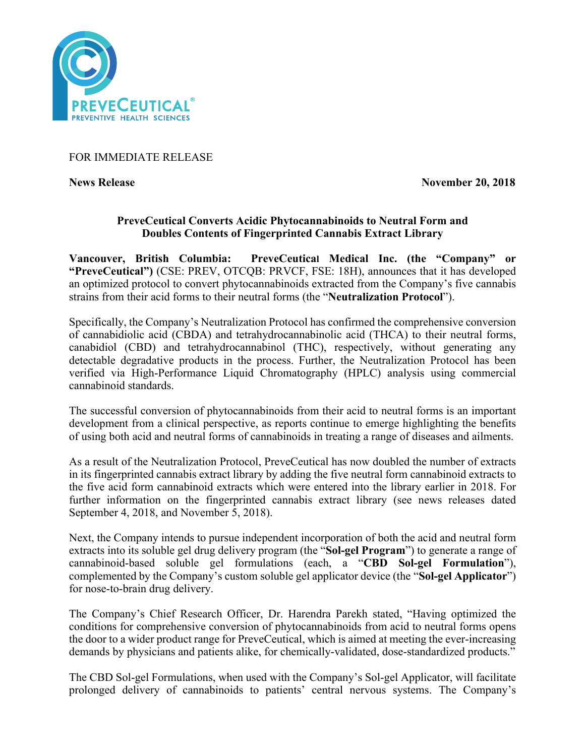

# FOR IMMEDIATE RELEASE

**News Release November 20, 2018** 

## **PreveCeutical Converts Acidic Phytocannabinoids to Neutral Form and Doubles Contents of Fingerprinted Cannabis Extract Library**

**Vancouver, British Columbia: PreveCeutical Medical Inc. (the "Company" or "PreveCeutical")** (CSE: PREV, OTCQB: PRVCF, FSE: 18H), announces that it has developed an optimized protocol to convert phytocannabinoids extracted from the Company's five cannabis strains from their acid forms to their neutral forms (the "**Neutralization Protocol**").

Specifically, the Company's Neutralization Protocol has confirmed the comprehensive conversion of cannabidiolic acid (CBDA) and tetrahydrocannabinolic acid (THCA) to their neutral forms, canabidiol (CBD) and tetrahydrocannabinol (THC), respectively, without generating any detectable degradative products in the process. Further, the Neutralization Protocol has been verified via High-Performance Liquid Chromatography (HPLC) analysis using commercial cannabinoid standards.

The successful conversion of phytocannabinoids from their acid to neutral forms is an important development from a clinical perspective, as reports continue to emerge highlighting the benefits of using both acid and neutral forms of cannabinoids in treating a range of diseases and ailments.

As a result of the Neutralization Protocol, PreveCeutical has now doubled the number of extracts in its fingerprinted cannabis extract library by adding the five neutral form cannabinoid extracts to the five acid form cannabinoid extracts which were entered into the library earlier in 2018. For further information on the fingerprinted cannabis extract library (see news releases dated September 4, 2018, and November 5, 2018).

Next, the Company intends to pursue independent incorporation of both the acid and neutral form extracts into its soluble gel drug delivery program (the "**Sol-gel Program**") to generate a range of cannabinoid-based soluble gel formulations (each, a "**CBD Sol-gel Formulation**"), complemented by the Company's custom soluble gel applicator device (the "**Sol-gel Applicator**") for nose-to-brain drug delivery.

The Company's Chief Research Officer, Dr. Harendra Parekh stated, "Having optimized the conditions for comprehensive conversion of phytocannabinoids from acid to neutral forms opens the door to a wider product range for PreveCeutical, which is aimed at meeting the ever-increasing demands by physicians and patients alike, for chemically-validated, dose-standardized products."

The CBD Sol-gel Formulations, when used with the Company's Sol-gel Applicator, will facilitate prolonged delivery of cannabinoids to patients' central nervous systems. The Company's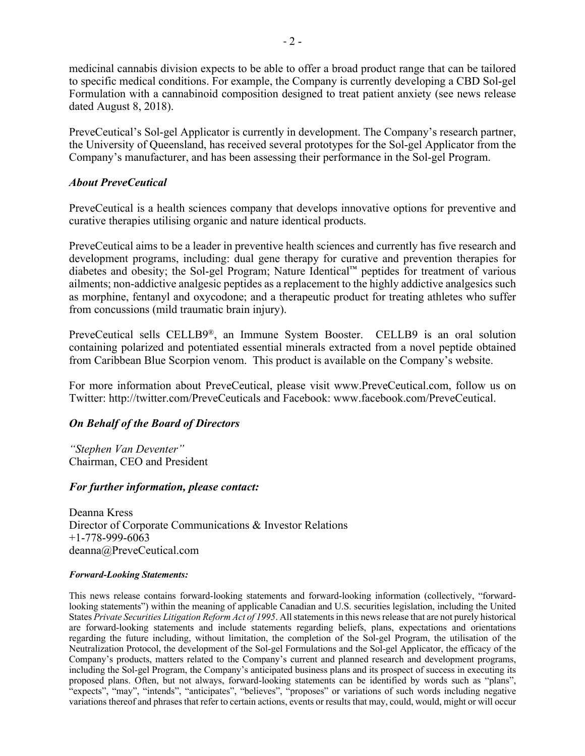medicinal cannabis division expects to be able to offer a broad product range that can be tailored to specific medical conditions. For example, the Company is currently developing a CBD Sol-gel Formulation with a cannabinoid composition designed to treat patient anxiety (see news release dated August 8, 2018).

PreveCeutical's Sol-gel Applicator is currently in development. The Company's research partner, the University of Queensland, has received several prototypes for the Sol-gel Applicator from the Company's manufacturer, and has been assessing their performance in the Sol-gel Program.

#### *About PreveCeutical*

PreveCeutical is a health sciences company that develops innovative options for preventive and curative therapies utilising organic and nature identical products.

PreveCeutical aims to be a leader in preventive health sciences and currently has five research and development programs, including: dual gene therapy for curative and prevention therapies for diabetes and obesity; the Sol-gel Program; Nature Identical™ peptides for treatment of various ailments; non-addictive analgesic peptides as a replacement to the highly addictive analgesics such as morphine, fentanyl and oxycodone; and a therapeutic product for treating athletes who suffer from concussions (mild traumatic brain injury).

PreveCeutical sells CELLB9®, an Immune System Booster. CELLB9 is an oral solution containing polarized and potentiated essential minerals extracted from a novel peptide obtained from Caribbean Blue Scorpion venom. This product is available on the Company's website.

For more information about PreveCeutical, please visit www.PreveCeutical.com, follow us on Twitter: http://twitter.com/PreveCeuticals and Facebook: www.facebook.com/PreveCeutical.

## *On Behalf of the Board of Directors*

*"Stephen Van Deventer"* Chairman, CEO and President

#### *For further information, please contact:*

Deanna Kress Director of Corporate Communications & Investor Relations +1-778-999-6063 deanna@PreveCeutical.com

#### *Forward-Looking Statements:*

This news release contains forward-looking statements and forward-looking information (collectively, "forwardlooking statements") within the meaning of applicable Canadian and U.S. securities legislation, including the United States *Private Securities Litigation Reform Act of 1995*. All statements in this news release that are not purely historical are forward-looking statements and include statements regarding beliefs, plans, expectations and orientations regarding the future including, without limitation, the completion of the Sol-gel Program, the utilisation of the Neutralization Protocol, the development of the Sol-gel Formulations and the Sol-gel Applicator, the efficacy of the Company's products, matters related to the Company's current and planned research and development programs, including the Sol-gel Program, the Company's anticipated business plans and its prospect of success in executing its proposed plans. Often, but not always, forward-looking statements can be identified by words such as "plans", "expects", "may", "intends", "anticipates", "believes", "proposes" or variations of such words including negative variations thereof and phrases that refer to certain actions, events or results that may, could, would, might or will occur